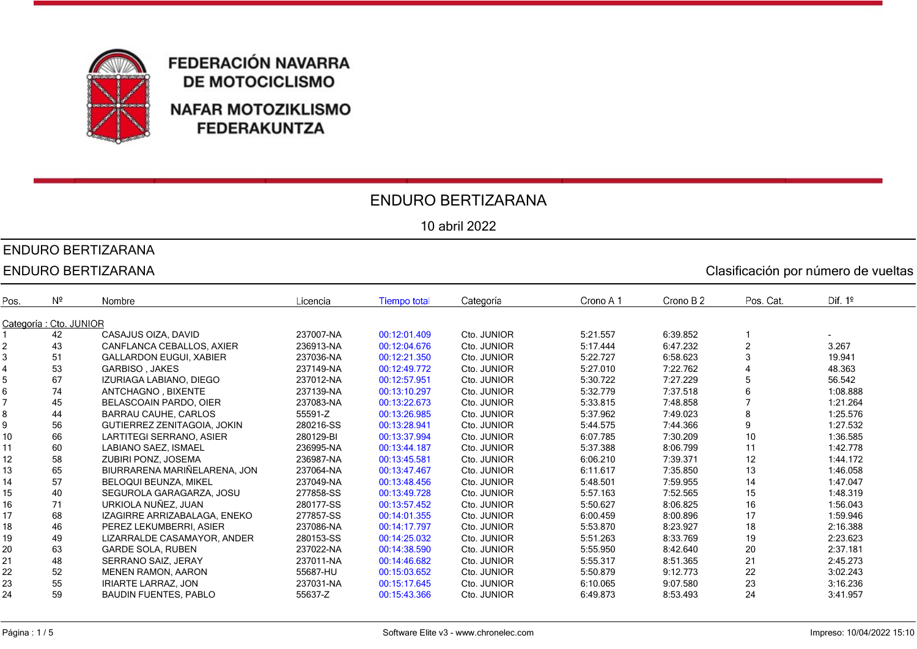

### ENDURO BERTIZARANA

10 abril 2022

## ENDURO BERTIZARANA

|      | <b>ENDURO BERTIZARANA</b><br>Clasificación por número de vueltas |                                |           |                     |             |           |           |                |           |  |
|------|------------------------------------------------------------------|--------------------------------|-----------|---------------------|-------------|-----------|-----------|----------------|-----------|--|
| Pos. | $N^{\circ}$                                                      | Nombre                         | Licencia  | <b>Tiempo total</b> | Categoría   | Crono A 1 | Crono B 2 | Pos. Cat.      | Dif. $1°$ |  |
|      | Categoría : Cto. JUNIOR                                          |                                |           |                     |             |           |           |                |           |  |
|      | 42                                                               | CASAJUS OIZA, DAVID            | 237007-NA | 00:12:01.409        | Cto. JUNIOR | 5:21.557  | 6:39.852  |                |           |  |
|      | 43                                                               | CANFLANCA CEBALLOS, AXIER      | 236913-NA | 00:12:04.676        | Cto. JUNIOR | 5:17.444  | 6:47.232  | $\overline{2}$ | 3.267     |  |
|      | 51                                                               | <b>GALLARDON EUGUI, XABIER</b> | 237036-NA | 00:12:21.350        | Cto. JUNIOR | 5:22.727  | 6:58.623  | 3              | 19.941    |  |
|      | 53                                                               | <b>GARBISO, JAKES</b>          | 237149-NA | 00:12:49.772        | Cto. JUNIOR | 5:27.010  | 7:22.762  |                | 48.363    |  |
|      | 67                                                               | IZURIAGA LABIANO, DIEGO        | 237012-NA | 00:12:57.951        | Cto. JUNIOR | 5:30.722  | 7:27.229  | 5              | 56.542    |  |
|      | 74                                                               | ANTCHAGNO, BIXENTE             | 237139-NA | 00:13:10.297        | Cto. JUNIOR | 5:32.779  | 7:37.518  | 6              | 1:08.888  |  |
|      | 45                                                               | BELASCOAIN PARDO, OIER         | 237083-NA | 00:13:22.673        | Cto. JUNIOR | 5:33.815  | 7:48.858  |                | 1:21.264  |  |
|      | 44                                                               | BARRAU CAUHE, CARLOS           | 55591-Z   | 00:13:26.985        | Cto. JUNIOR | 5:37.962  | 7:49.023  | 8              | 1:25.576  |  |
|      | 56                                                               | GUTIERREZ ZENITAGOIA, JOKIN    | 280216-SS | 00:13:28.941        | Cto. JUNIOR | 5:44.575  | 7:44.366  | 9              | 1:27.532  |  |
| 10   | 66                                                               | LARTITEGI SERRANO, ASIER       | 280129-BI | 00:13:37.994        | Cto. JUNIOR | 6:07.785  | 7:30.209  | 10             | 1:36.585  |  |
| 11   | 60                                                               | <b>LABIANO SAEZ. ISMAEL</b>    | 236995-NA | 00:13:44.187        | Cto. JUNIOR | 5:37.388  | 8:06.799  | 11             | 1:42.778  |  |
| 12   | 58                                                               | ZUBIRI PONZ, JOSEMA            | 236987-NA | 00:13:45.581        | Cto. JUNIOR | 6:06.210  | 7:39.371  | 12             | 1:44.172  |  |
| 13   | 65                                                               | BIURRARENA MARIÑELARENA. JON   | 237064-NA | 00:13:47.467        | Cto. JUNIOR | 6:11.617  | 7:35.850  | 13             | 1:46.058  |  |
| 14   | 57                                                               | <b>BELOQUI BEUNZA, MIKEL</b>   | 237049-NA | 00:13:48.456        | Cto. JUNIOR | 5:48.501  | 7:59.955  | 14             | 1:47.047  |  |
| 15   | 40                                                               | SEGUROLA GARAGARZA, JOSU       | 277858-SS | 00:13:49.728        | Cto. JUNIOR | 5:57.163  | 7:52.565  | 15             | 1:48.319  |  |
| 16   | 71                                                               | URKIOLA NUÑEZ, JUAN            | 280177-SS | 00:13:57.452        | Cto. JUNIOR | 5:50.627  | 8:06.825  | 16             | 1:56.043  |  |
| 17   | 68                                                               | IZAGIRRE ARRIZABALAGA, ENEKO   | 277857-SS | 00:14:01.355        | Cto. JUNIOR | 6:00.459  | 8:00.896  | 17             | 1:59.946  |  |
| 18   | 46                                                               | PEREZ LEKUMBERRI. ASIER        | 237086-NA | 00:14:17.797        | Cto. JUNIOR | 5:53.870  | 8:23.927  | 18             | 2:16.388  |  |
| 19   | 49                                                               | LIZARRALDE CASAMAYOR, ANDER    | 280153-SS | 00:14:25.032        | Cto. JUNIOR | 5:51.263  | 8:33.769  | 19             | 2:23.623  |  |
| 20   | 63                                                               | <b>GARDE SOLA, RUBEN</b>       | 237022-NA | 00:14:38.590        | Cto. JUNIOR | 5:55.950  | 8:42.640  | 20             | 2:37.181  |  |
| 21   | 48                                                               | SERRANO SAIZ, JERAY            | 237011-NA | 00:14:46.682        | Cto. JUNIOR | 5:55.317  | 8:51.365  | 21             | 2:45.273  |  |
| 22   | 52                                                               | <b>MENEN RAMON, AARON</b>      | 55687-HU  | 00:15:03.652        | Cto. JUNIOR | 5:50.879  | 9:12.773  | 22             | 3:02.243  |  |
| 23   | 55                                                               | <b>IRIARTE LARRAZ, JON</b>     | 237031-NA | 00:15:17.645        | Cto. JUNIOR | 6:10.065  | 9:07.580  | 23             | 3:16.236  |  |
| 24   | 59                                                               | <b>BAUDIN FUENTES, PABLO</b>   | 55637-Z   | 00:15:43.366        | Cto. JUNIOR | 6:49.873  | 8:53.493  | 24             | 3:41.957  |  |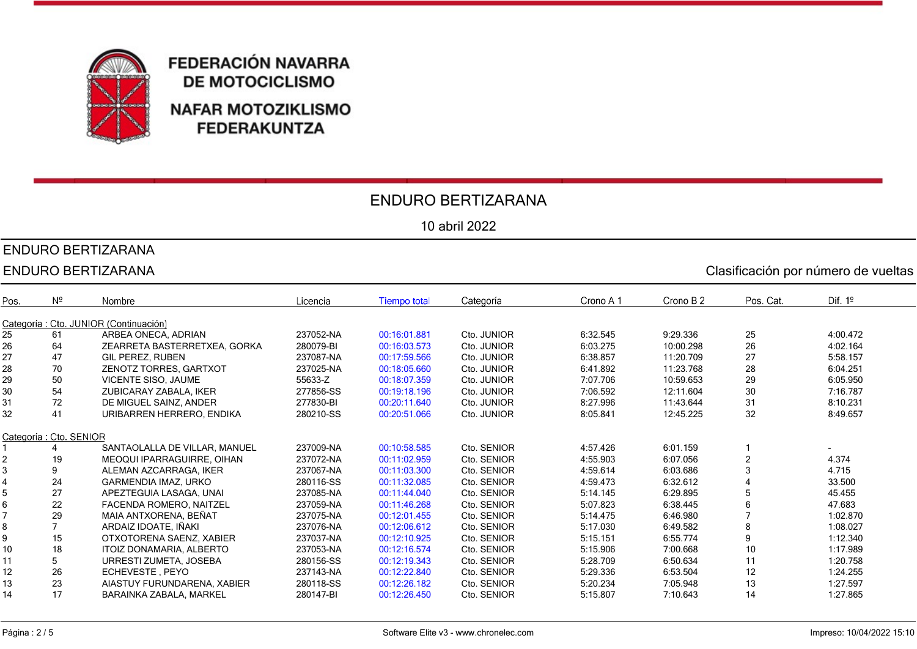

### ENDURO BERTIZARANA

10 abril 2022

### ENDURO BERTIZARANA

|      | <b>ENDURO BERTIZARANA</b><br>Clasificación por número de vueltas |                                       |           |                     |             |           |           |           |           |
|------|------------------------------------------------------------------|---------------------------------------|-----------|---------------------|-------------|-----------|-----------|-----------|-----------|
| Pos. | $N^{\circ}$                                                      | Nombre                                | Licencia  | <b>Tiempo total</b> | Categoría   | Crono A 1 | Crono B 2 | Pos. Cat. | Dif. $1°$ |
|      |                                                                  | Categoría: Cto. JUNIOR (Continuación) |           |                     |             |           |           |           |           |
| 25   | 61                                                               | ARBEA ONECA, ADRIAN                   | 237052-NA | 00:16:01.881        | Cto. JUNIOR | 6:32.545  | 9:29.336  | 25        | 4:00.472  |
| 26   | 64                                                               | ZEARRETA BASTERRETXEA, GORKA          | 280079-BI | 00:16:03.573        | Cto. JUNIOR | 6:03.275  | 10:00.298 | 26        | 4:02.164  |
| 27   | 47                                                               | <b>GIL PEREZ, RUBEN</b>               | 237087-NA | 00:17:59.566        | Cto. JUNIOR | 6:38.857  | 11:20.709 | 27        | 5:58.157  |
| 28   | 70                                                               | ZENOTZ TORRES, GARTXOT                | 237025-NA | 00:18:05.660        | Cto. JUNIOR | 6:41.892  | 11:23.768 | 28        | 6:04.251  |
| 29   | 50                                                               | <b>VICENTE SISO, JAUME</b>            | 55633-Z   | 00:18:07.359        | Cto. JUNIOR | 7:07.706  | 10:59.653 | 29        | 6:05.950  |
| 30   | 54                                                               | ZUBICARAY ZABALA, IKER                | 277856-SS | 00:19:18.196        | Cto. JUNIOR | 7:06.592  | 12:11.604 | 30        | 7:16.787  |
| 31   | 72                                                               | DE MIGUEL SAINZ, ANDER                | 277830-BI | 00:20:11.640        | Cto. JUNIOR | 8:27.996  | 11:43.644 | 31        | 8:10.231  |
| 32   | 41                                                               | URIBARREN HERRERO, ENDIKA             | 280210-SS | 00:20:51.066        | Cto. JUNIOR | 8:05.841  | 12:45.225 | 32        | 8:49.657  |
|      |                                                                  |                                       |           |                     |             |           |           |           |           |
|      | Categoría : Cto. SENIOR                                          |                                       |           |                     |             |           |           |           |           |
|      |                                                                  | SANTAOLALLA DE VILLAR, MANUEL         | 237009-NA | 00:10:58.585        | Cto. SENIOR | 4:57.426  | 6:01.159  |           |           |
|      | 19                                                               | MEOQUI IPARRAGUIRRE, OIHAN            | 237072-NA | 00:11:02.959        | Cto. SENIOR | 4:55.903  | 6:07.056  |           | 4.374     |
|      | 9                                                                | ALEMAN AZCARRAGA. IKER                | 237067-NA | 00:11:03.300        | Cto. SENIOR | 4:59.614  | 6:03.686  | 3         | 4.715     |
|      | 24                                                               | <b>GARMENDIA IMAZ, URKO</b>           | 280116-SS | 00:11:32.085        | Cto. SENIOR | 4:59.473  | 6:32.612  |           | 33.500    |
|      | 27                                                               | APEZTEGUIA LASAGA, UNAI               | 237085-NA | 00:11:44.040        | Cto. SENIOR | 5:14.145  | 6:29.895  | 5         | 45.455    |
|      | 22                                                               | FACENDA ROMERO, NAITZEL               | 237059-NA | 00:11:46.268        | Cto. SENIOR | 5:07.823  | 6:38.445  | 6         | 47.683    |
|      | 29                                                               | MAIA ANTXORENA, BEÑAT                 | 237075-NA | 00:12:01.455        | Cto. SENIOR | 5:14.475  | 6:46.980  |           | 1:02.870  |
|      |                                                                  | ARDAIZ IDOATE. IÑAKI                  | 237076-NA | 00:12:06.612        | Cto. SENIOR | 5:17.030  | 6:49.582  | 8         | 1:08.027  |
|      | 15                                                               | OTXOTORENA SAENZ, XABIER              | 237037-NA | 00:12:10.925        | Cto. SENIOR | 5:15.151  | 6:55.774  | 9         | 1:12.340  |
| 10   | 18                                                               | ITOIZ DONAMARIA, ALBERTO              | 237053-NA | 00:12:16.574        | Cto. SENIOR | 5:15.906  | 7:00.668  | 10        | 1:17.989  |
| 11   | 5                                                                | URRESTI ZUMETA, JOSEBA                | 280156-SS | 00:12:19.343        | Cto. SENIOR | 5:28.709  | 6:50.634  | 11        | 1:20.758  |
| 12   | 26                                                               | ECHEVESTE, PEYO                       | 237143-NA | 00:12:22.840        | Cto. SENIOR | 5:29.336  | 6:53.504  | 12        | 1:24.255  |
| 13   | 23                                                               | AIASTUY FURUNDARENA, XABIER           | 280118-SS | 00:12:26.182        | Cto. SENIOR | 5:20.234  | 7:05.948  | 13        | 1:27.597  |
| 14   | 17                                                               | BARAINKA ZABALA, MARKEL               | 280147-BI | 00:12:26.450        | Cto. SENIOR | 5:15.807  | 7:10.643  | 14        | 1:27.865  |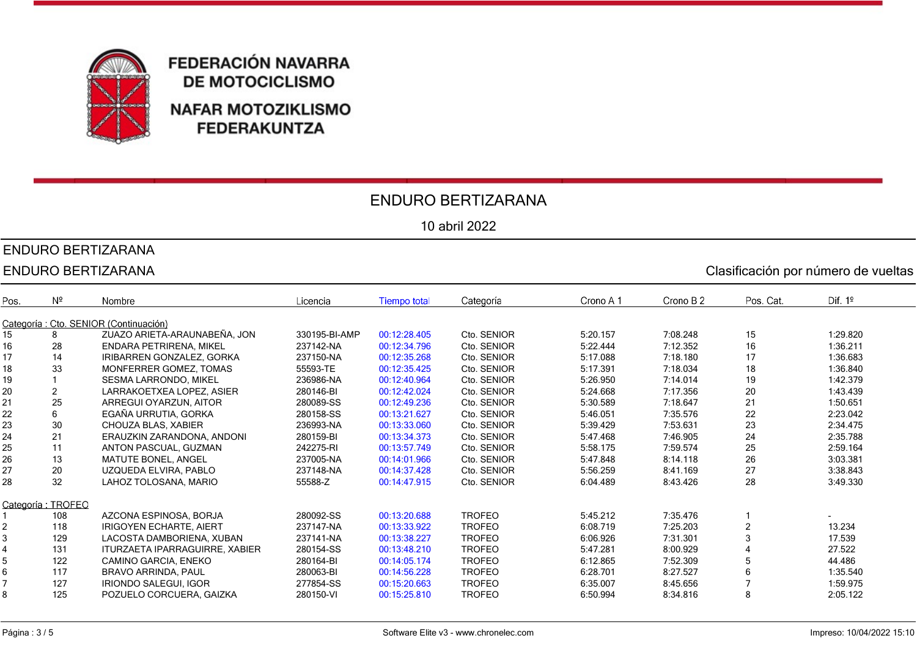

### ENDURO BERTIZARANA

10 abril 2022

# ENDURO BERTIZARANA

|      | <b>ENDURO BERTIZARANA</b><br>Clasificación por número de vueltas |                                        |               |                     |               |           |           |                |           |
|------|------------------------------------------------------------------|----------------------------------------|---------------|---------------------|---------------|-----------|-----------|----------------|-----------|
| Pos. | $N^{\circ}$                                                      | Nombre                                 | Licencia      | <b>Tiempo total</b> | Categoría     | Crono A 1 | Crono B 2 | Pos. Cat.      | Dif. $1°$ |
|      |                                                                  | Categoría : Cto. SENIOR (Continuación) |               |                     |               |           |           |                |           |
| 15   | 8                                                                | ZUAZO ARIETA-ARAUNABEÑA, JON           | 330195-BI-AMP | 00:12:28.405        | Cto. SENIOR   | 5:20.157  | 7:08.248  | 15             | 1:29.820  |
| 16   | 28                                                               | <b>ENDARA PETRIRENA, MIKEL</b>         | 237142-NA     | 00:12:34.796        | Cto. SENIOR   | 5:22.444  | 7:12.352  | 16             | 1:36.211  |
| 17   | 14                                                               | IRIBARREN GONZALEZ, GORKA              | 237150-NA     | 00:12:35.268        | Cto. SENIOR   | 5:17.088  | 7:18.180  | 17             | 1:36.683  |
| 18   | 33                                                               | MONFERRER GOMEZ. TOMAS                 | 55593-TE      | 00:12:35.425        | Cto. SENIOR   | 5:17.391  | 7:18.034  | 18             | 1:36.840  |
| 19   |                                                                  | <b>SESMA LARRONDO. MIKEL</b>           | 236986-NA     | 00:12:40.964        | Cto. SENIOR   | 5:26.950  | 7:14.014  | 19             | 1:42.379  |
| 20   |                                                                  | LARRAKOETXEA LOPEZ, ASIER              | 280146-BI     | 00:12:42.024        | Cto. SENIOR   | 5:24.668  | 7:17.356  | 20             | 1:43.439  |
| 21   | 25                                                               | ARREGUI OYARZUN, AITOR                 | 280089-SS     | 00:12:49.236        | Cto. SENIOR   | 5:30.589  | 7:18.647  | 21             | 1:50.651  |
| 22   | 6                                                                | EGAÑA URRUTIA, GORKA                   | 280158-SS     | 00:13:21.627        | Cto. SENIOR   | 5:46.051  | 7:35.576  | 22             | 2:23.042  |
| 23   | 30                                                               | CHOUZA BLAS, XABIER                    | 236993-NA     | 00:13:33.060        | Cto. SENIOR   | 5:39.429  | 7:53.631  | 23             | 2:34.475  |
| 24   | 21                                                               | ERAUZKIN ZARANDONA, ANDONI             | 280159-BI     | 00:13:34.373        | Cto. SENIOR   | 5:47.468  | 7:46.905  | 24             | 2:35.788  |
| 25   | 11                                                               | ANTON PASCUAL, GUZMAN                  | 242275-RI     | 00:13:57.749        | Cto. SENIOR   | 5:58.175  | 7:59.574  | 25             | 2:59.164  |
| 26   | 13                                                               | <b>MATUTE BONEL, ANGEL</b>             | 237005-NA     | 00:14:01.966        | Cto. SENIOR   | 5:47.848  | 8:14.118  | 26             | 3:03.381  |
| 27   | 20                                                               | UZQUEDA ELVIRA, PABLO                  | 237148-NA     | 00:14:37.428        | Cto. SENIOR   | 5:56.259  | 8:41.169  | 27             | 3:38.843  |
| 28   | 32                                                               | LAHOZ TOLOSANA, MARIO                  | 55588-Z       | 00:14:47.915        | Cto. SENIOR   | 6:04.489  | 8:43.426  | 28             | 3:49.330  |
|      | Categoría: TROFEO                                                |                                        |               |                     |               |           |           |                |           |
|      | 108                                                              | AZCONA ESPINOSA, BORJA                 | 280092-SS     | 00:13:20.688        | <b>TROFEO</b> | 5:45.212  | 7:35.476  |                |           |
|      | 118                                                              | <b>IRIGOYEN ECHARTE, AIERT</b>         | 237147-NA     | 00:13:33.922        | <b>TROFEO</b> | 6:08.719  | 7:25.203  | $\overline{2}$ | 13.234    |
|      | 129                                                              | LACOSTA DAMBORIENA, XUBAN              | 237141-NA     | 00:13:38.227        | <b>TROFEO</b> | 6:06.926  | 7:31.301  | 3              | 17.539    |
|      | 131                                                              | ITURZAETA IPARRAGUIRRE, XABIER         | 280154-SS     | 00:13:48.210        | <b>TROFEO</b> | 5:47.281  | 8:00.929  |                | 27.522    |
|      | 122                                                              | CAMINO GARCIA, ENEKO                   | 280164-BI     | 00:14:05.174        | <b>TROFEO</b> | 6:12.865  | 7:52.309  | 5              | 44.486    |
| 6    | 117                                                              | <b>BRAVO ARRINDA, PAUL</b>             | 280063-BI     | 00:14:56.228        | <b>TROFEO</b> | 6:28.701  | 8:27.527  | 6              | 1:35.540  |
|      | 127                                                              | <b>IRIONDO SALEGUI, IGOR</b>           | 277854-SS     | 00:15:20.663        | <b>TROFEO</b> | 6:35.007  | 8:45.656  |                | 1:59.975  |
| 8    | 125                                                              | POZUELO CORCUERA, GAIZKA               | 280150-VI     | 00:15:25.810        | <b>TROFEO</b> | 6:50.994  | 8:34.816  | 8              | 2:05.122  |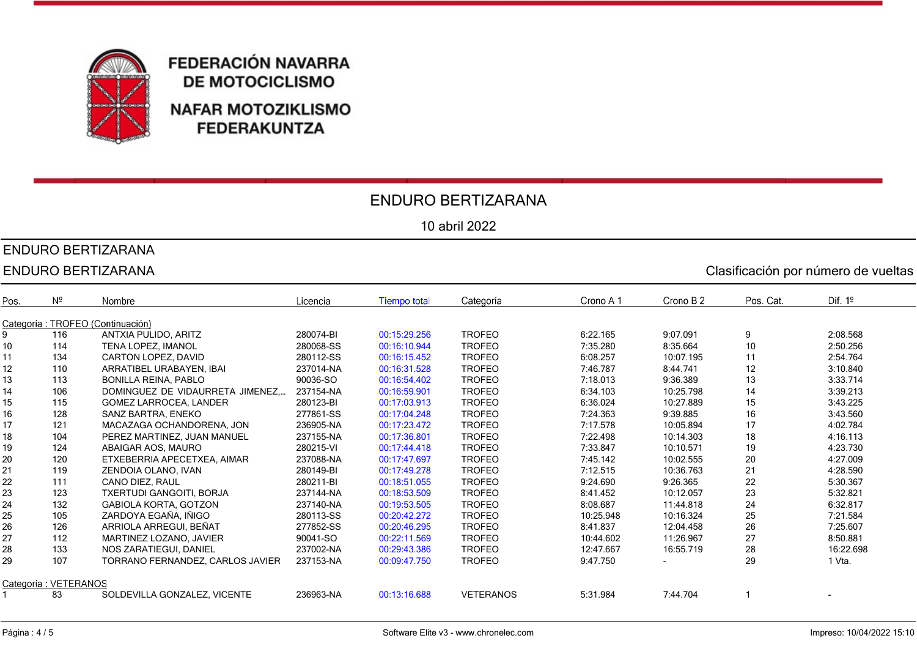

### ENDURO BERTIZARANA

10 abril 2022

### ENDURO BERTIZARANA

|      | ENDURO BERTIZARANA<br>Clasificación por número de vueltas |                                  |           |                     |                  |           |           |           |           |  |
|------|-----------------------------------------------------------|----------------------------------|-----------|---------------------|------------------|-----------|-----------|-----------|-----------|--|
| Pos. | $N^2$                                                     | Nombre                           | Licencia  | <b>Tiempo total</b> | Categoría        | Crono A 1 | Crono B 2 | Pos. Cat. | Dif. $1°$ |  |
|      |                                                           | Categoría: TROFEO (Continuación) |           |                     |                  |           |           |           |           |  |
| 9    | 116                                                       | ANTXIA PULIDO, ARITZ             | 280074-BI | 00:15:29.256        | <b>TROFEO</b>    | 6:22.165  | 9:07.091  | 9         | 2:08.568  |  |
| 10   | 114                                                       | TENA LOPEZ, IMANOL               | 280068-SS | 00:16:10.944        | <b>TROFEO</b>    | 7:35.280  | 8:35.664  | 10        | 2:50.256  |  |
| 11   | 134                                                       | <b>CARTON LOPEZ, DAVID</b>       | 280112-SS | 00:16:15.452        | <b>TROFEO</b>    | 6:08.257  | 10:07.195 | 11        | 2:54.764  |  |
| 12   | 110                                                       | ARRATIBEL URABAYEN, IBAI         | 237014-NA | 00:16:31.528        | <b>TROFEO</b>    | 7:46.787  | 8:44.741  | 12        | 3:10.840  |  |
| 13   | 113                                                       | <b>BONILLA REINA, PABLO</b>      | 90036-SO  | 00:16:54.402        | <b>TROFEO</b>    | 7:18.013  | 9:36.389  | 13        | 3:33.714  |  |
| 14   | 106                                                       | DOMINGUEZ DE VIDAURRETA JIMENEZ  | 237154-NA | 00:16:59.901        | <b>TROFEO</b>    | 6:34.103  | 10:25.798 | 14        | 3:39.213  |  |
| 15   | 115                                                       | <b>GOMEZ LARROCEA, LANDER</b>    | 280123-BI | 00:17:03.913        | <b>TROFEO</b>    | 6:36.024  | 10:27.889 | 15        | 3:43.225  |  |
| 16   | 128                                                       | SANZ BARTRA, ENEKO               | 277861-SS | 00:17:04.248        | <b>TROFEO</b>    | 7:24.363  | 9:39.885  | 16        | 3:43.560  |  |
| 17   | 121                                                       | MACAZAGA OCHANDORENA, JON        | 236905-NA | 00:17:23.472        | <b>TROFEO</b>    | 7:17.578  | 10:05.894 | 17        | 4:02.784  |  |
| 18   | 104                                                       | PEREZ MARTINEZ, JUAN MANUEL      | 237155-NA | 00:17:36.801        | <b>TROFEO</b>    | 7:22.498  | 10:14.303 | 18        | 4:16.113  |  |
| 19   | 124                                                       | ABAIGAR AOS, MAURO               | 280215-VI | 00:17:44.418        | <b>TROFEO</b>    | 7:33.847  | 10:10.571 | 19        | 4:23.730  |  |
| 20   | 120                                                       | ETXEBERRIA APECETXEA, AIMAR      | 237088-NA | 00:17:47.697        | <b>TROFEO</b>    | 7:45.142  | 10:02.555 | 20        | 4:27.009  |  |
| 21   | 119                                                       | ZENDOIA OLANO, IVAN              | 280149-BI | 00:17:49.278        | <b>TROFEO</b>    | 7:12.515  | 10:36.763 | 21        | 4:28.590  |  |
| 22   | 111                                                       | CANO DIEZ, RAUL                  | 280211-BI | 00:18:51.055        | <b>TROFEO</b>    | 9:24.690  | 9:26.365  | 22        | 5:30.367  |  |
| 23   | 123                                                       | <b>TXERTUDI GANGOITI, BORJA</b>  | 237144-NA | 00:18:53.509        | <b>TROFEO</b>    | 8:41.452  | 10:12.057 | 23        | 5:32.821  |  |
| 24   | 132                                                       | <b>GABIOLA KORTA, GOTZON</b>     | 237140-NA | 00:19:53.505        | <b>TROFEO</b>    | 8:08.687  | 11:44.818 | 24        | 6:32.817  |  |
| 25   | 105                                                       | ZARDOYA EGAÑA, IÑIGO             | 280113-SS | 00:20:42.272        | <b>TROFEO</b>    | 10:25.948 | 10:16.324 | 25        | 7:21.584  |  |
| 26   | 126                                                       | ARRIOLA ARREGUI, BEÑAT           | 277852-SS | 00:20:46.295        | <b>TROFEO</b>    | 8:41.837  | 12:04.458 | 26        | 7:25.607  |  |
| 27   | 112                                                       | MARTINEZ LOZANO, JAVIER          | 90041-SO  | 00:22:11.569        | <b>TROFEO</b>    | 10:44.602 | 11:26.967 | 27        | 8:50.881  |  |
| 28   | 133                                                       | NOS ZARATIEGUI, DANIEL           | 237002-NA | 00:29:43.386        | <b>TROFEO</b>    | 12:47.667 | 16:55.719 | 28        | 16:22.698 |  |
| 29   | 107                                                       | TORRANO FERNANDEZ. CARLOS JAVIER | 237153-NA | 00:09:47.750        | <b>TROFEO</b>    | 9:47.750  |           | 29        | 1 Vta.    |  |
|      | Categoría: VETERANOS                                      |                                  |           |                     |                  |           |           |           |           |  |
|      | 83                                                        | SOLDEVILLA GONZALEZ, VICENTE     | 236963-NA | 00:13:16.688        | <b>VETERANOS</b> | 5:31.984  | 7:44.704  |           |           |  |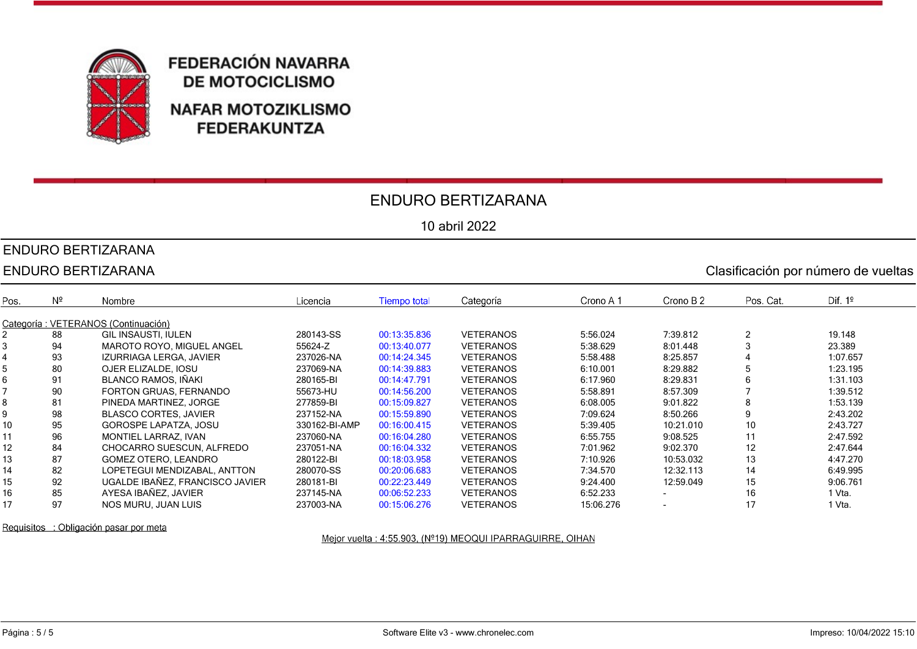

#### ENDURO BERTIZARANA

10 abril 2022

# ENDURO BERTIZARANA

|      | <b>ENDURO BERTIZARANA</b><br>Clasificación por número de vueltas |                                     |               |                     |                  |           |                          |               |           |  |
|------|------------------------------------------------------------------|-------------------------------------|---------------|---------------------|------------------|-----------|--------------------------|---------------|-----------|--|
| Pos. | $N^2$                                                            | Nombre                              | Licencia      | <b>Tiempo total</b> | Categoría        | Crono A 1 | Crono B 2                | Pos. Cat.     | Dif. $1°$ |  |
|      |                                                                  | Categoría: VETERANOS (Continuación) |               |                     |                  |           |                          |               |           |  |
|      | 88                                                               | <b>GIL INSAUSTI, IULEN</b>          | 280143-SS     | 00:13:35.836        | <b>VETERANOS</b> | 5:56.024  | 7:39.812                 | $\mathcal{P}$ | 19.148    |  |
|      | 94                                                               | MAROTO ROYO, MIGUEL ANGEL           | 55624-Z       | 00:13:40.077        | <b>VETERANOS</b> | 5:38.629  | 8:01.448                 |               | 23.389    |  |
|      | 93                                                               | IZURRIAGA LERGA, JAVIER             | 237026-NA     | 00:14:24.345        | <b>VETERANOS</b> | 5:58.488  | 8:25.857                 |               | 1:07.657  |  |
|      | 80                                                               | OJER ELIZALDE, IOSU                 | 237069-NA     | 00:14:39.883        | <b>VETERANOS</b> | 6:10.001  | 8:29.882                 | 5             | 1:23.195  |  |
|      | 91                                                               | <b>BLANCO RAMOS, IÑAKI</b>          | 280165-BI     | 00:14:47.791        | <b>VETERANOS</b> | 6:17.960  | 8:29.831                 |               | 1:31.103  |  |
|      | 90                                                               | FORTON GRUAS, FERNANDO              | 55673-HU      | 00:14:56.200        | <b>VETERANOS</b> | 5:58.891  | 8:57.309                 |               | 1:39.512  |  |
|      | 81                                                               | PINEDA MARTINEZ, JORGE              | 277859-BI     | 00:15:09.827        | <b>VETERANOS</b> | 6:08.005  | 9:01.822                 | 8             | 1:53.139  |  |
|      | 98                                                               | <b>BLASCO CORTES, JAVIER</b>        | 237152-NA     | 00:15:59.890        | <b>VETERANOS</b> | 7:09.624  | 8:50.266                 |               | 2:43.202  |  |
| 10   | 95                                                               | <b>GOROSPE LAPATZA, JOSU</b>        | 330162-BI-AMP | 00:16:00.415        | <b>VETERANOS</b> | 5:39.405  | 10:21.010                | 10            | 2:43.727  |  |
|      | 96                                                               | MONTIEL LARRAZ, IVAN                | 237060-NA     | 00:16:04.280        | <b>VETERANOS</b> | 6:55.755  | 9:08.525                 | 11            | 2:47.592  |  |
| 12   | 84                                                               | CHOCARRO SUESCUN, ALFREDO           | 237051-NA     | 00:16:04.332        | <b>VETERANOS</b> | 7:01.962  | 9:02.370                 | 12            | 2:47.644  |  |
| 13   | 87                                                               | GOMEZ OTERO, LEANDRO                | 280122-BI     | 00:18:03.958        | <b>VETERANOS</b> | 7:10.926  | 10:53.032                | 13            | 4:47.270  |  |
| 14   | 82                                                               | LOPETEGUI MENDIZABAL, ANTTON        | 280070-SS     | 00:20:06.683        | <b>VETERANOS</b> | 7:34.570  | 12:32.113                | 14            | 6:49.995  |  |
| 15   | 92                                                               | UGALDE IBAÑEZ, FRANCISCO JAVIER     | 280181-BI     | 00:22:23.449        | <b>VETERANOS</b> | 9:24.400  | 12:59.049                | 15            | 9:06.761  |  |
| 16   | 85                                                               | AYESA IBAÑEZ, JAVIER                | 237145-NA     | 00:06:52.233        | <b>VETERANOS</b> | 6:52.233  |                          | 16            | 1 Vta.    |  |
| 17   | 97                                                               | NOS MURU, JUAN LUIS                 | 237003-NA     | 00:15:06.276        | <b>VETERANOS</b> | 15:06.276 | $\overline{\phantom{a}}$ | 17            | 1 Vta.    |  |

Requisitos : Obligación pasar por meta

Mejor vuelta : 4:55.903, (Nº19) MEOQUI IPARRAGUIRRE, OIHAN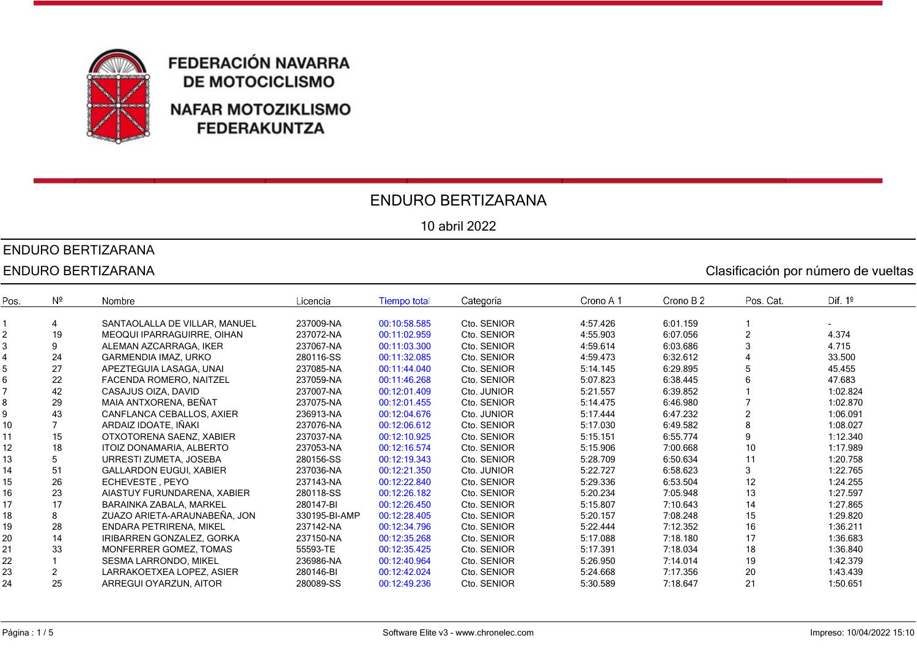

### ENDURO BERTIZARANA

10 abril 2022

# ENDURO BERTIZARANA

#### ENDURO BERTIZARANA Clasificación por número de vueltas

Crono B<sub>2</sub> Dif.  $1<sup>°</sup>$ Pos.  $N<sup>2</sup>$ Nombre Licencia **Tiempo total** Categoría Crono A 1 Pos. Cat. 1 4 SANTAOLALLA DE VILLAR, MANUEL 237009-NA 00:10:58.585 Cto. SENIOR 4:57.426 6:01.159 1 - 2 19 MEOQUI IPARRAGUIRRE, OIHAN 237072-NA 00:11:02.959 Cto. SENIOR 4:55.903 6:07.056 2 4.374 3 9 ALEMAN AZCARRAGA, IKER 237067-NA 00:11:03.300 Cto. SENIOR 4:59.614 6:03.686 3 4.715 4 24 GARMENDIA IMAZ, URKO 280116-SS 00:11:32.085 Cto. SENIOR 4:59.473 6:32.612 4 33.500 5 27 APEZTEGUIA LASAGA, UNAI 237085-NA 00:11:44.040 Cto. SENIOR 5:14.145 6:29.895 5 45.455 6 22 FACENDA ROMERO, NAITZEL 237059-NA 00:11:46.268 Cto. SENIOR 5:07.823 6:38.445 6 47.683 7 42 CASAJUS OIZA, DAVID 237007-NA 00:12:01.409 Cto. JUNIOR 5:21.557 6:39.852 1 1:02.824 8 29 MAIA ANTXORENA, BEÑAT 237075-NA 00:12:01.455 Cto. SENIOR 5:14.475 6:46.980 7 1:02.870 9 43 CANFLANCA CEBALLOS, AXIER 236913-NA 00:12:04.676 Cto. JUNIOR 5:17.444 6:47.232 2 1:06.091 10 7 ARDAIZ IDOATE, IÑAKI 237076-NA 00:12:06.612 Cto. SENIOR 5:17.030 6:49.582 8 1:08.027 11 15 OTXOTORENA SAENZ, XABIER 237037-NA 00:12:10.925 Cto. SENIOR 5:15.151 6:55.774 9 1:12.340 12 18 ITOIZ DONAMARIA, ALBERTO 237053-NA 00:12:16.574 Cto. SENIOR 5:15.906 7:00.668 10 1:17.989 13 5 URRESTI ZUMETA, JOSEBA 280156-SS 00:12:19.343 Cto. SENIOR 5:28.709 6:50.634 11 1:20.758 14 51 GALLARDON EUGUI, XABIER 237036-NA 00:12:21.350 Cto. JUNIOR 5:22.727 6:58.623 3 1:22.765 15 26 ECHEVESTE , PEYO 237143-NA 00:12:22.840 Cto. SENIOR 5:29.336 6:53.504 12 1:24.255 16 23 AIASTUY FURUNDARENA, XABIER 280118-SS 00:12:26.182 Cto. SENIOR 5:20.234 7:05.948 13 1:27.597 17 17 BARAINKA ZABALA, MARKEL 280147-BI 00:12:26.450 Cto. SENIOR 5:15.807 7:10.643 14 1:27.865 18 8 ZUAZO ARIETA-ARAUNABEÑA, JON 330195-BI-AMP 00:12:28.405 Cto. SENIOR 5:20.157 7:08.248 15 1:29.820 19 28 ENDARA PETRIRENA, MIKEL 237142-NA 00:12:34.796 Cto. SENIOR 5:22.444 7:12.352 16 1:36.211 20 14 IRIBARREN GONZALEZ, GORKA 237150-NA 00:12:35.268 Cto. SENIOR 5:17.088 7:18.180 17 1:36.683 21 33 MONFERRER GOMEZ, TOMAS 55593-TE 00:12:35.425 Cto. SENIOR 5:17.391 7:18.034 18 1:36.840 22 1 SESMA LARRONDO, MIKEL 236986-NA 00:12:40.964 Cto. SENIOR 5:26.950 7:14.014 19 1:42.379 23 2 LARRAKOETXEA LOPEZ, ASIER 280146-BI 00:12:42.024 Cto. SENIOR 5:24.668 7:17.356 20 1:43.439 24 25 ARREGUI OYARZUN, AITOR 280089-SS 00:12:49.236 Cto. SENIOR 5:30.589 7:18.647 21 1:50.651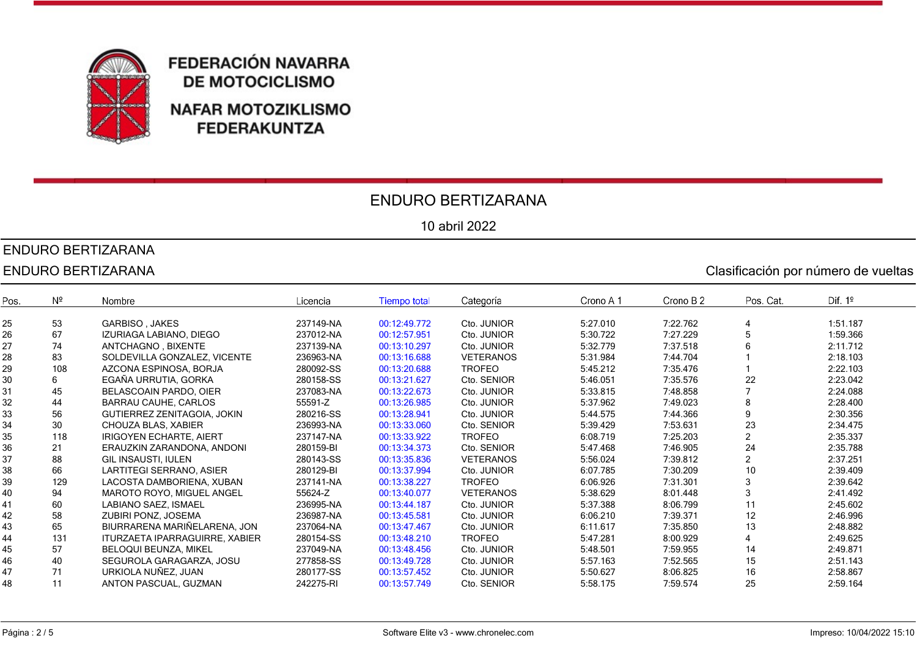

#### ENDURO BERTIZARANA

10 abril 2022

#### ENDURO BERTIZARANA

#### ENDURO BERTIZARANA Clasificación por número de vueltas

Crono B<sub>2</sub> Dif.  $1<sup>°</sup>$ Pos.  $N^2$ Nombre Licencia **Tiempo total** Categoría Crono A 1 Pos. Cat. 25 53 GARBISO , JAKES 237149-NA 00:12:49.772 Cto. JUNIOR 5:27.010 7:22.762 4 1:51.187 26 67 IZURIAGA LABIANO, DIEGO 237012-NA 00:12:57.951 Cto. JUNIOR 5:30.722 7:27.229 5 1:59.366 27 74 ANTCHAGNO , BIXENTE 237139-NA 00:13:10.297 Cto. JUNIOR 5:32.779 7:37.518 6 2:11.712 28 83 SOLDEVILLA GONZALEZ, VICENTE 236963-NA 00:13:16.688 VETERANOS 5:31.984 7:44.704 1 2:18.103 29 108 AZCONA ESPINOSA, BORJA 280092-SS 00:13:20.688 TROFEO 5:45.212 7:35.476 1 2:22.103 30 6 EGAÑA URRUTIA, GORKA 280158-SS 00:13:21.627 Cto. SENIOR 5:46.051 7:35.576 22 2:23.042 31 45 BELASCOAIN PARDO, OIER 237083-NA 00:13:22.673 Cto. JUNIOR 5:33.815 7:48.858 7 2:24.088 32 44 BARRAU CAUHE, CARLOS 55591-Z 00:13:26.985 Cto. JUNIOR 5:37.962 7:49.023 8 2:28.400 33 56 GUTIERREZ ZENITAGOIA, JOKIN 280216-SS 00:13:28.941 Cto. JUNIOR 5:44.575 7:44.366 9 2:30.356 34 30 CHOUZA BLAS, XABIER 236993-NA 00:13:33.060 Cto. SENIOR 5:39.429 7:53.631 23 2:34.475 35 118 IRIGOYEN ECHARTE, AIERT 237147-NA 00:13:33.922 TROFEO 6:08.719 7:25.203 2 2:35.337 36 21 ERAUZKIN ZARANDONA, ANDONI 280159-BI 00:13:34.373 Cto. SENIOR 5:47.468 7:46.905 24 2:35.788 37 88 GIL INSAUSTI, IULEN 280143-SS 00:13:35.836 VETERANOS 5:56.024 7:39.812 2 2:37.251 38 66 LARTITEGI SERRANO, ASIER 280129-BI 00:13:37.994 Cto. JUNIOR 6:07.785 7:30.209 10 2:39.409 39 129 LACOSTA DAMBORIENA, XUBAN 237141-NA 00:13:38.227 TROFEO 6:06.926 7:31.301 3 2:39.642 40 94 MAROTO ROYO, MIGUEL ANGEL 55624-Z 00:13:40.077 VETERANOS 5:38.629 8:01.448 3 2:41.492 41 60 LABIANO SAEZ, ISMAEL 236995-NA 00:13:44.187 Cto. JUNIOR 5:37.388 8:06.799 11 2:45.602 42 58 ZUBIRI PONZ, JOSEMA 236987-NA 00:13:45.581 Cto. JUNIOR 6:06.210 7:39.371 12 2:46.996 43 65 BIURRARENA MARIÑELARENA, JON 237064-NA 00:13:47.467 Cto. JUNIOR 6:11.617 7:35.850 13 2:48.882 44 131 ITURZAETA IPARRAGUIRRE, XABIER 280154-SS 00:13:48.210 TROFEO 5:47.281 8:00.929 4 2:49.625 45 57 BELOQUI BEUNZA, MIKEL 237049-NA 00:13:48.456 Cto. JUNIOR 5:48.501 7:59.955 14 2:49.871 46 40 SEGUROLA GARAGARZA, JOSU 277858-SS 00:13:49.728 Cto. JUNIOR 5:57.163 7:52.565 15 2:51.143 47 71 URKIOLA NUÑEZ, JUAN 280177-SS 00:13:57.452 Cto. JUNIOR 5:50.627 8:06.825 16 2:58.867 48 11 ANTON PASCUAL, GUZMAN 242275-RI 00:13:57.749 Cto. SENIOR 5:58.175 7:59.574 25 2:59.164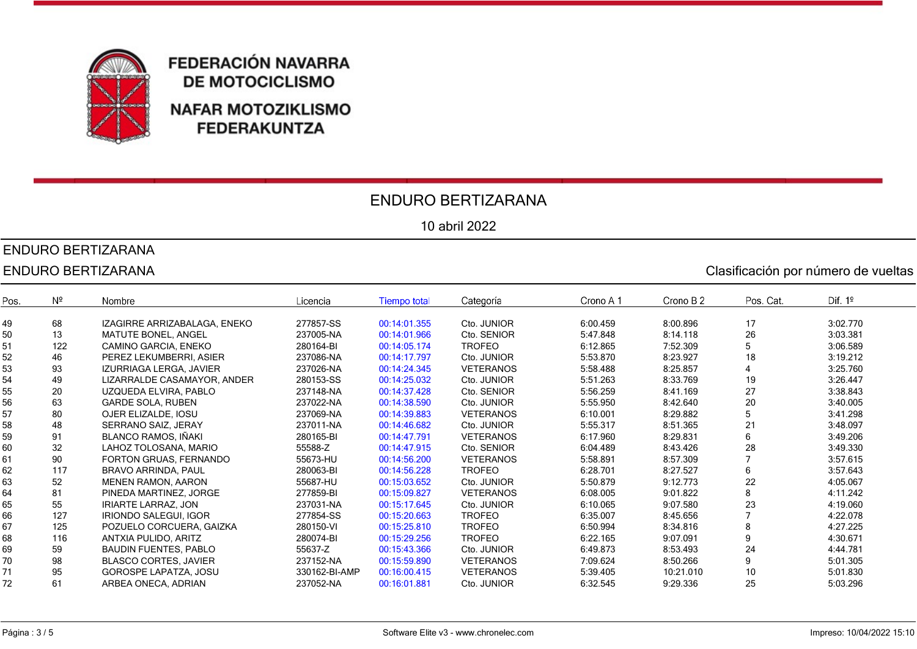

#### ENDURO BERTIZARANA

10 abril 2022

### ENDURO BERTIZARANA

#### ENDURO BERTIZARANA Clasificación por número de vueltas

Crono B<sub>2</sub> Dif.  $1<sup>°</sup>$ Pos.  $N^2$ Nombre Licencia **Tiempo total** Categoría Crono A 1 Pos. Cat. 49 68 IZAGIRRE ARRIZABALAGA, ENEKO 277857-SS 00:14:01.355 Cto. JUNIOR 6:00.459 8:00.896 17 3:02.770 50 13 MATUTE BONEL, ANGEL 237005-NA 00:14:01.966 Cto. SENIOR 5:47.848 8:14.118 26 3:03.381 51 122 CAMINO GARCIA, ENEKO 280164-BI 00:14:05.174 TROFEO 6:12.865 7:52.309 5 3:06.589 52 46 PEREZ LEKUMBERRI, ASIER 237086-NA 00:14:17.797 Cto. JUNIOR 5:53.870 8:23.927 18 3:19.212 53 93 IZURRIAGA LERGA, JAVIER 237026-NA 00:14:24.345 VETERANOS 5:58.488 8:25.857 4 3:25.760 54 49 LIZARRALDE CASAMAYOR, ANDER 280153-SS 00:14:25.032 Cto. JUNIOR 5:51.263 8:33.769 19 3:26.447 55 20 UZQUEDA ELVIRA, PABLO 237148-NA 00:14:37.428 Cto. SENIOR 5:56.259 8:41.169 27 3:38.843 56 63 GARDE SOLA, RUBEN 237022-NA 00:14:38.590 Cto. JUNIOR 5:55.950 8:42.640 20 3:40.005 57 80 OJER ELIZALDE, IOSU 237069-NA 00:14:39.883 VETERANOS 6:10.001 8:29.882 5 3:41.298 58 48 SERRANO SAIZ, JERAY 237011-NA 00:14:46.682 Cto. JUNIOR 5:55.317 8:51.365 21 3:48.097 59 91 BLANCO RAMOS, IÑAKI 280165-BI 00:14:47.791 VETERANOS 6:17.960 8:29.831 6 3:49.206 60 32 LAHOZ TOLOSANA, MARIO 55588-Z 00:14:47.915 Cto. SENIOR 6:04.489 8:43.426 28 3:49.330 61 90 FORTON GRUAS, FERNANDO 55673-HU 00:14:56.200 VETERANOS 5:58.891 8:57.309 7 3:57.615 62 117 BRAVO ARRINDA, PAUL 280063-BI 00:14:56.228 TROFEO 6:28.701 8:27.527 6 3:57.643 63 52 MENEN RAMON, AARON 55687-HU 00:15:03.652 Cto. JUNIOR 5:50.879 9:12.773 22 4:05.067 64 81 PINEDA MARTINEZ, JORGE 277859-BI 00:15:09.827 VETERANOS 6:08.005 9:01.822 8 4:11.242 65 55 IRIARTE LARRAZ, JON 237031-NA 00:15:17.645 Cto. JUNIOR 6:10.065 9:07.580 23 4:19.060 66 127 IRIONDO SALEGUI, IGOR 277854-SS 00:15:20.663 TROFEO 6:35.007 8:45.656 7 4:22.078 67 125 POZUELO CORCUERA, GAIZKA 280150-VI 00:15:25.810 TROFEO 6:50.994 8:34.816 8 4:27.225 68 116 ANTXIA PULIDO, ARITZ 280074-BI 00:15:29.256 TROFEO 6:22.165 9:07.091 9 4:30.671 69 59 BAUDIN FUENTES, PABLO 55637-Z 00:15:43.366 Cto. JUNIOR 6:49.873 8:53.493 24 4:44.781 70 98 BLASCO CORTES, JAVIER 237152-NA 00:15:59.890 VETERANOS 7:09.624 8:50.266 9 5:01.305 71 95 GOROSPE LAPATZA, JOSU 330162-BI-AMP 00:16:00.415 VETERANOS 5:39.405 10:21.010 10 5:01.830 72 61 ARBEA ONECA, ADRIAN 237052-NA 00:16:01.881 Cto. JUNIOR 6:32.545 9:29.336 25 5:03.296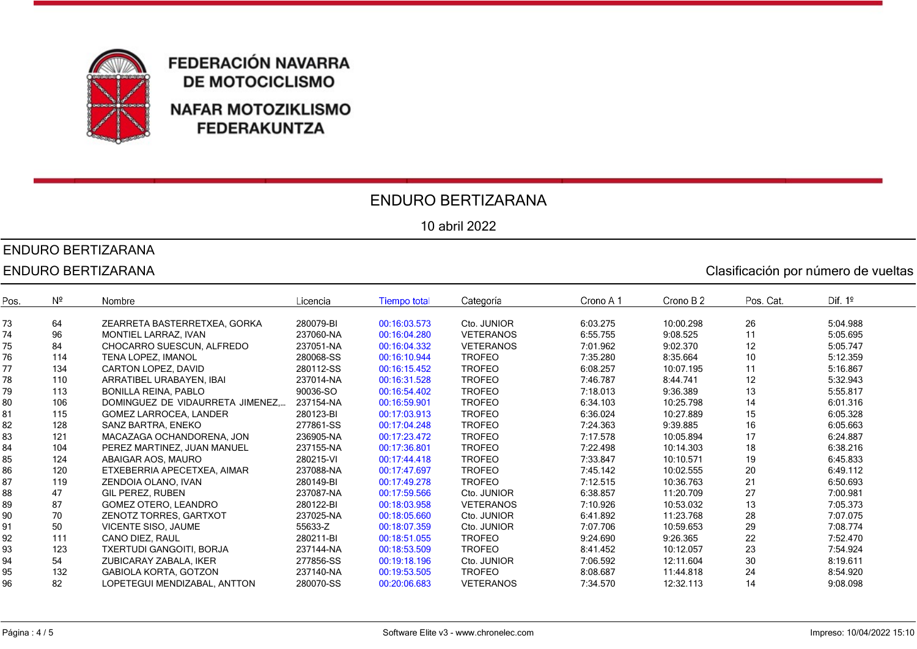

#### ENDURO BERTIZARANA

10 abril 2022

#### ENDURO BERTIZARANA

#### ENDURO BERTIZARANA Clasificación por número de vueltas

**Tiempo total** Crono B<sub>2</sub> Dif.  $1<sup>°</sup>$ Pos.  $N<sup>2</sup>$ Nombre Licencia Categoría Crono A 1 Pos. Cat. 73 64 ZEARRETA BASTERRETXEA, GORKA 280079-BI 00:16:03.573 Cto. JUNIOR 6:03.275 10:00.298 26 5:04.988 74 96 MONTIEL LARRAZ, IVAN 237060-NA 00:16:04.280 VETERANOS 6:55.755 9:08.525 11 5:05.695 75 84 CHOCARRO SUESCUN, ALFREDO 237051-NA 00:16:04.332 VETERANOS 7:01.962 9:02.370 12 5:05.747 76 114 TENA LOPEZ, IMANOL 280068-SS 00:16:10.944 TROFEO 7:35.280 8:35.664 10 5:12.359 77 134 CARTON LOPEZ, DAVID 280112-SS 00:16:15.452 TROFEO 6:08.257 10:07.195 11 5:16.867 78 110 ARRATIBEL URABAYEN, IBAI 237014-NA 00:16:31.528 TROFEO 7:46.787 8:44.741 12 5:32.943 79 113 BONILLA REINA, PABLO 90036-SO 00:16:54.402 TROFEO 7:18.013 9:36.389 13 5:55.817 80 106 DOMINGUEZ DE VIDAURRETA JIMENEZ, … 237154-NA 00:16:59.901 TROFEO 6:34.103 10:25.798 14 6:01.316 81 115 GOMEZ LARROCEA, LANDER 280123-BI 00:17:03.913 TROFEO 6:36.024 10:27.889 15 6:05.328 82 128 SANZ BARTRA, ENEKO 277861-SS 00:17:04.248 TROFEO 7:24.363 9:39.885 16 6:05.663 83 121 MACAZAGA OCHANDORENA, JON 236905-NA 00:17:23.472 TROFEO 7:17.578 10:05.894 17 6:24.887<br>84 104 PEREZ MARTINEZ, JUAN MANUEL 237155-NA 00:17:36.801 TROFEO 7:22.498 10:14 303 18 6:38.216 84 104 PEREZ MARTINEZ, JUAN MANUEL 237155-NA 00:17:36.801 TROFEO 7:22.498 10:14.303 18 6:38.216 85 124 ABAIGAR AOS, MAURO 280215-VI 00:17:44.418 TROFEO 7:33.847 10:10.571 19 6:45.833 86 120 ETXEBERRIA APECETXEA, AIMAR 237088-NA 00:17:47.697 TROFEO 7:45.142 10:02.555 20 6:49.112 87 119 ZENDOIA OLANO, IVAN 280149-BI 00:17:49.278 TROFEO 7:12.515 10:36.763 21 6:50.693 88 47 GIL PEREZ, RUBEN 237087-NA 00:17:59.566 Cto. JUNIOR 6:38.857 11:20.709 27 7:00.981 89 87 GOMEZ OTERO, LEANDRO 280122-BI 00:18:03.958 VETERANOS 7:10.926 10:53.032 13 7:05.373 90 70 ZENOTZ TORRES, GARTXOT 237025-NA 00:18:05.660 Cto. JUNIOR 6:41.892 11:23.768 28 7:07.075 91 50 VICENTE SISO, JAUME 55633-Z 00:18:07.359 Cto. JUNIOR 7:07.706 10:59.653 29 7:08.774 92 111 CANO DIEZ, RAUL 280211-BI 00:18:51.055 TROFEO 9:24.690 9:26.365 22 7:52.470 93 123 TXERTUDI GANGOITI, BORJA 237144-NA 00:18:53.509 TROFEO 8:41.452 10:12.057 23 7:54.924 94 54 ZUBICARAY ZABALA, IKER 277856-SS 00:19:18.196 Cto. JUNIOR 7:06.592 12:11.604 30 8:19.611 95 132 GABIOLA KORTA, GOTZON 237140-NA 00:19:53.505 TROFEO 8:08.687 11:44.818 24 8:54.920 96 82 LOPETEGUI MENDIZABAL, ANTTON 280070-SS 00:20:06.683 VETERANOS 7:34.570 12:32.113 14 9:08.098